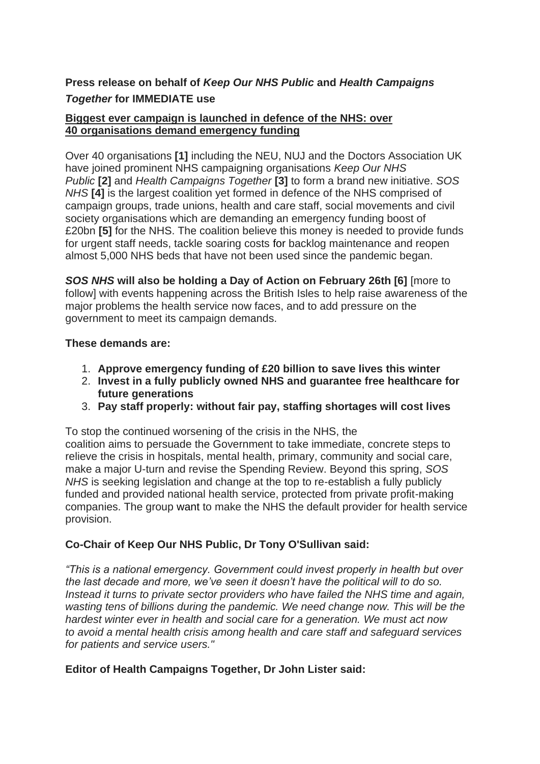# **Press release on behalf of** *Keep Our NHS Public* **and** *Health Campaigns Together* **for IMMEDIATE use**

## **Biggest ever campaign is launched in defence of the NHS: over 40 organisations demand emergency funding**

Over 40 organisations **[1]** including the NEU, NUJ and the Doctors Association UK have joined prominent NHS campaigning organisations *Keep Our NHS Public* **[2]** and *Health Campaigns Together* **[3]** to form a brand new initiative. *SOS NHS* **[4]** is the largest coalition yet formed in defence of the NHS comprised of campaign groups, trade unions, health and care staff, social movements and civil society organisations which are demanding an emergency funding boost of £20bn **[5]** for the NHS. The coalition believe this money is needed to provide funds for urgent staff needs, tackle soaring costs for backlog maintenance and reopen almost 5,000 NHS beds that have not been used since the pandemic began.

*SOS NHS* **will also be holding a Day of Action on February 26th [6]** [more to follow] with events happening across the British Isles to help raise awareness of the major problems the health service now faces, and to add pressure on the government to meet its campaign demands.

## **These demands are:**

- 1. **Approve emergency funding of £20 billion to save lives this winter**
- 2. **Invest in a fully publicly owned NHS and guarantee free healthcare for future generations**
- 3. **Pay staff properly: without fair pay, staffing shortages will cost lives**

To stop the continued worsening of the crisis in the NHS, the coalition aims to persuade the Government to take immediate, concrete steps to relieve the crisis in hospitals, mental health, primary, community and social care, make a major U-turn and revise the Spending Review. Beyond this spring, *SOS NHS* is seeking legislation and change at the top to re-establish a fully publicly funded and provided national health service, protected from private profit-making companies. The group want to make the NHS the default provider for health service provision.

# **Co-Chair of Keep Our NHS Public, Dr Tony O'Sullivan said:**

*"This is a national emergency. Government could invest properly in health but over the last decade and more, we've seen it doesn't have the political will to do so. Instead it turns to private sector providers who have failed the NHS time and again, wasting tens of billions during the pandemic. We need change now. This will be the hardest winter ever in health and social care for a generation. We must act now to avoid a mental health crisis among health and care staff and safeguard services for patients and service users."*

# **Editor of Health Campaigns Together, Dr John Lister said:**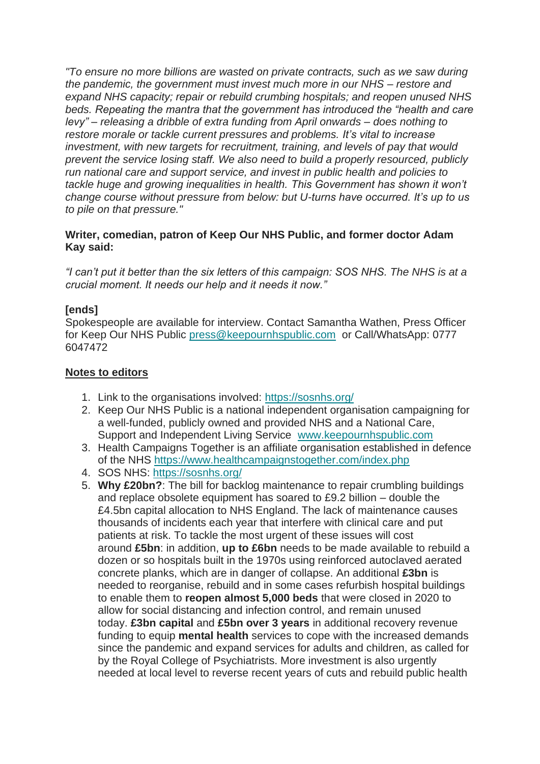*"To ensure no more billions are wasted on private contracts, such as we saw during the pandemic, the government must invest much more in our NHS – restore and expand NHS capacity; repair or rebuild crumbing hospitals; and reopen unused NHS beds. Repeating the mantra that the government has introduced the "health and care levy" – releasing a dribble of extra funding from April onwards – does nothing to restore morale or tackle current pressures and problems. It's vital to increase investment, with new targets for recruitment, training, and levels of pay that would prevent the service losing staff. We also need to build a properly resourced, publicly run national care and support service, and invest in public health and policies to tackle huge and growing inequalities in health. This Government has shown it won't change course without pressure from below: but U-turns have occurred. It's up to us to pile on that pressure."*

#### **Writer, comedian, patron of Keep Our NHS Public, and former doctor Adam Kay said:**

*"I can't put it better than the six letters of this campaign: SOS NHS. The NHS is at a crucial moment. It needs our help and it needs it now."*

## **[ends]**

Spokespeople are available for interview. Contact Samantha Wathen, Press Officer for Keep Our NHS Public [press@keepournhspublic.com](mailto:press@keepournhspublic.com) or Call/WhatsApp: 0777 6047472

#### **Notes to editors**

- 1. Link to the organisations involved: <https://sosnhs.org/>
- 2. Keep Our NHS Public is a national independent organisation campaigning for a well-funded, publicly owned and provided NHS and a National Care, Support and Independent Living Service [www.keepournhspublic.com](http://www.keepournhspublic.com/)
- 3. Health Campaigns Together is an affiliate organisation established in defence of the NHS <https://www.healthcampaignstogether.com/index.php>
- 4. SOS NHS: <https://sosnhs.org/>
- 5. **Why £20bn?**: The bill for backlog maintenance to repair crumbling buildings and replace obsolete equipment has soared to £9.2 billion – double the £4.5bn capital allocation to NHS England. The lack of maintenance causes thousands of incidents each year that interfere with clinical care and put patients at risk. To tackle the most urgent of these issues will cost around **£5bn**: in addition, **up to £6bn** needs to be made available to rebuild a dozen or so hospitals built in the 1970s using reinforced autoclaved aerated concrete planks, which are in danger of collapse. An additional **£3bn** is needed to reorganise, rebuild and in some cases refurbish hospital buildings to enable them to **reopen almost 5,000 beds** that were closed in 2020 to allow for social distancing and infection control, and remain unused today. **£3bn capital** and **£5bn over 3 years** in additional recovery revenue funding to equip **mental health** services to cope with the increased demands since the pandemic and expand services for adults and children, as called for by the Royal College of Psychiatrists. More investment is also urgently needed at local level to reverse recent years of cuts and rebuild public health